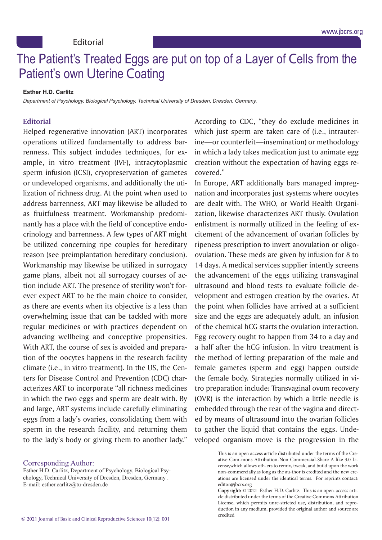## no rationes ricated Lygs are put on top or a Layer or Cells from the<br>Potiont's own I Itorino Cooting Assisted Reproductive Technologies among Moroccan Couples in The Patient's Treated Eggs are put on top of a Layer of Cells from the Patient's own Uterine Coating

## **Esther H.D. Carlitz**

Casablanca State 2020 *Department of Psychology, Biological Psychology, Technical University of Dresden, Dresden, Germany.*

## **Kabit7 , Romaissa Boutiche8 Editorial**

lization of richness drug. At the point when used to  $\frac{1}{2}$ address barrenness, ART may likewise be alluded to as fruitfulness treatment. Workmanship predomichological input is a place with the field of concentive endo nantly has a place with the field of conceptive endocrinology and barrenness. A few types of ART might be utilized concerning ripe couples for hereditary treated termination. The production the production is the production. reason (see preimplantation hereditary conclusion). Workmanship may likewise be utilized in surrogacy game plans, albeit not all surrogacy courses of ac- $\frac{1}{2}$  tion include APT. The presence of sterility wen't for tion include ART. The presence of sterility won't forever expect ART to be the main choice to consider, as there are events when its objective is a less than overwhelming issue that can be tacked with more overwhelming issue that can be tackled with more regular medicines or with practices dependent on advancing wellbeing and conceptive propensities.  $\frac{1}{\sqrt{1 + h^2}}$  has course of sex is avoided and prepara With ART, the course of sex is avoided and preparation of the oocytes happens in the research facility climate (i.e., in vitro treatment). In the US, the Centers for Disease Control and Prevention (CDC) characterizes ART to incorporate "all richness medicines in which the two eggs and sperm are dealt with. By and large, ART systems include carefully eliminating eggs from a lady's ovaries, consolidating them with sperm in the research facility, and returning them Helped regenerative innovation (ART) incorporates operations utilized fundamentally to address bar- ine-or counterfeit-insem *Senior Clinical Embryologist , Laboratory IVF, Morocco 5,6,7Senior Clinical Embryologist, IRIFIV Fertility Center, Morocco* renness. This subject includes techniques, for example, in vitro treatment (IVF), intracytoplasmic creation w sperm infusion (ICSI), cryopreservation of gametes to the lady's body or giving them to another lady." or undeveloped organisms, and additionally the uti-

According to CDC, "they do exclude medicines in which just sperm are taken care of (i.e., intrauterine—or counterfeit—insemination) or methodology in which a lady takes medication just to animate egg creation without the expectation of having eggs recovered."

nation and incorporates just systems where oocytes are dealt with. The WHO, or World Health Organization, likewise characterizes ART thusly. Ovulation  $\omega$  oplictmont is normally utilized in the fooling of exenlistment is normally utilized in the feeling of excitement of the advancement of ovarian follicles by ripeness prescription to invert anovulation or oligo- $\alpha$  in particulation. These mode are given by infusion for  $\alpha$  to ovulation. These meds are given by infusion for 8 to 14 days. A medical services supplier intently screens the advancement of the eggs utilizing transvaginal ultrasound and blood tests to evaluate follicle de-Influorumente in Morocco is even work followed to velopment and estrogen creation by the ovaries. At the point when follicles have arrived at a sufficient  $\frac{1}{100}$  and the exce are adequately adult an infusion size and the eggs are adequately adult, an infusion of the chemical hCG starts the ovulation interaction. Egg recovery ought to happen from 34 to a day and  $\frac{1}{2}$  half after the bCC infusion. In vitro treatment is a half after the hCG infusion. In vitro treatment is the method of letting preparation of the male and female gametes (sperm and egg) happen outside  $\frac{1}{\pi}$  the female body Strategies normally utilized in vi the female body. Strategies normally utilized in vitro preparation include: Transvaginal ovum recovery (OVR) is the interaction by which a little needle is embedded through the rear of the vagina and directed by means of ultrasound into the ovarian follicles veloped organism move is the progression in the In Europe, ART additionally bars managed impregto gather the liquid that contains the eggs. Unde-

Corresponding Author:

Esther H.D. Carlitz, Department of Psychology, Biological Psychology, Technical University of Dresden, Dresden, Germany . E-mail: esther.carlitz@tu-dresden.de

mons Attribution-Non Commercial-Share A like 3.0 License,which allows oth-This is an open access article distributed under the terms of the Creative Com-mons Attribution-Non Commercial-Share A like 3.0 License, which allows oth-ers to remix, tweak, and build upon the work ations are licensed under the identical terms. For reprints contact: editor@jbcrs.org non-commercially,as long as the au-thor is credited and the new cre-

**Copyright:** © 2021 Esther H.D. Carlitz. This is an open-access article distributed under the terms of the Creative Commons Attribution License, which permits unre-stricted use, distribution, and reproduction in any medium, provided the original author and source are credited